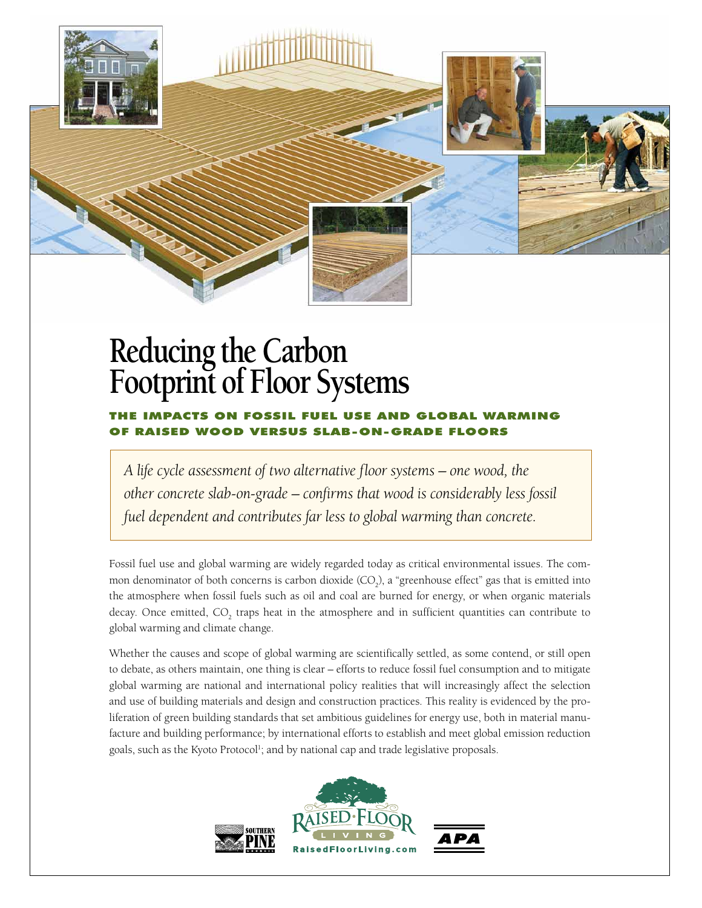

## **Reducing the Carbon Footprint of Floor Systems**

## The Impacts on Fossil Fuel Use and Global Warming WOOD VERSUS S

*A life cycle assessment of two alternative floor systems – one wood, the other concrete slab-on-grade – confirms that wood is considerably less fossil fuel dependent and contributes far less to global warming than concrete.*

Fossil fuel use and global warming are widely regarded today as critical environmental issues. The common denominator of both concerns is carbon dioxide  $(CO<sub>2</sub>)$ , a "greenhouse effect" gas that is emitted into the atmosphere when fossil fuels such as oil and coal are burned for energy, or when organic materials decay. Once emitted,  $CO_2$  traps heat in the atmosphere and in sufficient quantities can contribute to global warming and climate change.

Whether the causes and scope of global warming are scientifically settled, as some contend, or still open to debate, as others maintain, one thing is clear – efforts to reduce fossil fuel consumption and to mitigate global warming are national and international policy realities that will increasingly affect the selection and use of building materials and design and construction practices. This reality is evidenced by the proliferation of green building standards that set ambitious guidelines for energy use, both in material manufacture and building performance; by international efforts to establish and meet global emission reduction goals, such as the Kyoto Protocol<sup>1</sup>; and by national cap and trade legislative proposals.

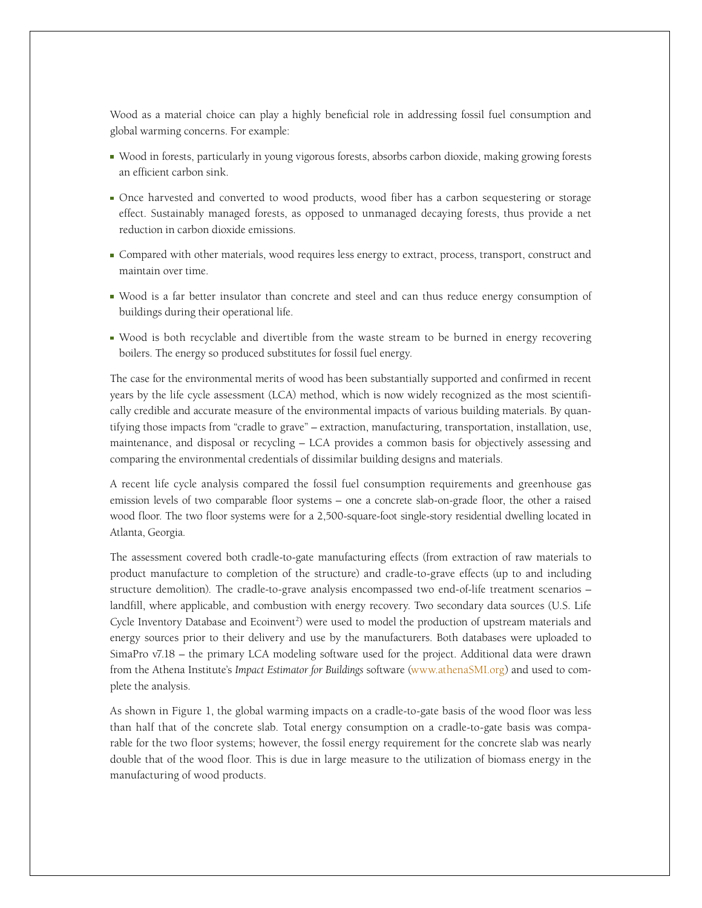Wood as a material choice can play a highly beneficial role in addressing fossil fuel consumption and global warming concerns. For example:

- Wood in forests, particularly in young vigorous forests, absorbs carbon dioxide, making growing forests an efficient carbon sink.
- Once harvested and converted to wood products, wood fiber has a carbon sequestering or storage effect. Sustainably managed forests, as opposed to unmanaged decaying forests, thus provide a net reduction in carbon dioxide emissions.
- Compared with other materials, wood requires less energy to extract, process, transport, construct and maintain over time.
- Wood is a far better insulator than concrete and steel and can thus reduce energy consumption of buildings during their operational life.
- Wood is both recyclable and divertible from the waste stream to be burned in energy recovering boilers. The energy so produced substitutes for fossil fuel energy.

The case for the environmental merits of wood has been substantially supported and confirmed in recent years by the life cycle assessment (LCA) method, which is now widely recognized as the most scientifically credible and accurate measure of the environmental impacts of various building materials. By quantifying those impacts from "cradle to grave" – extraction, manufacturing, transportation, installation, use, maintenance, and disposal or recycling – LCA provides a common basis for objectively assessing and comparing the environmental credentials of dissimilar building designs and materials.

A recent life cycle analysis compared the fossil fuel consumption requirements and greenhouse gas emission levels of two comparable floor systems – one a concrete slab-on-grade floor, the other a raised wood floor. The two floor systems were for a 2,500-square-foot single-story residential dwelling located in Atlanta, Georgia.

The assessment covered both cradle-to-gate manufacturing effects (from extraction of raw materials to product manufacture to completion of the structure) and cradle-to-grave effects (up to and including structure demolition). The cradle-to-grave analysis encompassed two end-of-life treatment scenarios – landfill, where applicable, and combustion with energy recovery. Two secondary data sources (U.S. Life Cycle Inventory Database and Ecoinvent<sup>2</sup>) were used to model the production of upstream materials and energy sources prior to their delivery and use by the manufacturers. Both databases were uploaded to SimaPro v7.18 – the primary LCA modeling software used for the project. Additional data were drawn from the Athena Institute's *Impact Estimator for Buildings* software [\(www.athenaSMI.org](www.athenaSMI.org)) and used to complete the analysis.

As shown in Figure 1, the global warming impacts on a cradle-to-gate basis of the wood floor was less than half that of the concrete slab. Total energy consumption on a cradle-to-gate basis was comparable for the two floor systems; however, the fossil energy requirement for the concrete slab was nearly double that of the wood floor. This is due in large measure to the utilization of biomass energy in the manufacturing of wood products.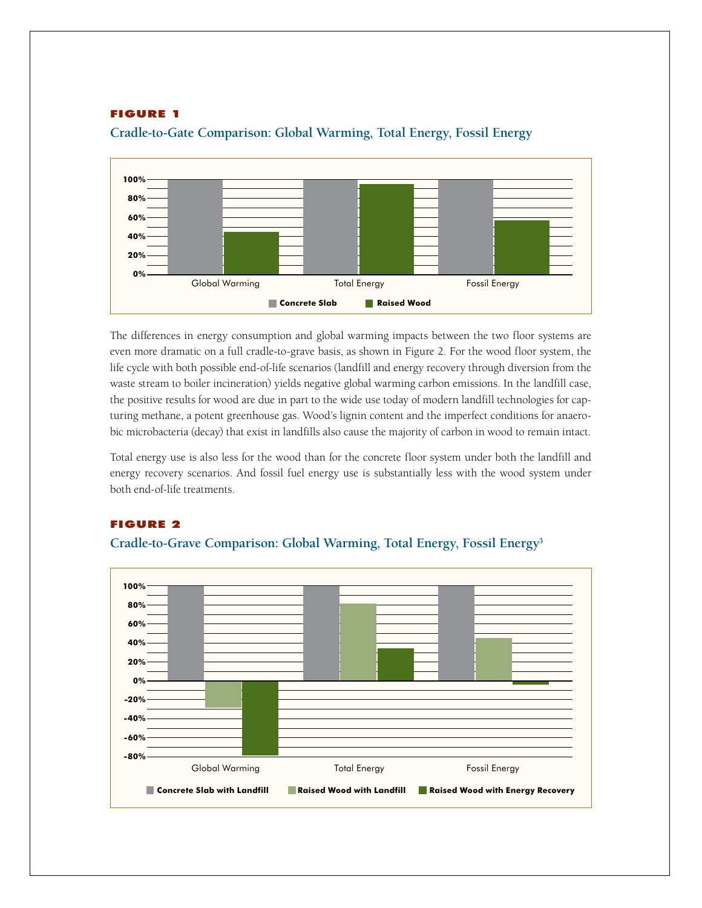## FIGURE 1



**Cradle-to-Gate Comparison: Global Warming, Total Energy, Fossil Energy**

The differences in energy consumption and global warming impacts between the two floor systems are even more dramatic on a full cradle-to-grave basis, as shown in Figure 2. For the wood floor system, the life cycle with both possible end-of-life scenarios (landfill and energy recovery through diversion from the waste stream to boiler incineration) yields negative global warming carbon emissions. In the landfill case, the positive results for wood are due in part to the wide use today of modern landfill technologies for capturing methane, a potent greenhouse gas. Wood's lignin content and the imperfect conditions for anaerobic microbacteria (decay) that exist in landfills also cause the majority of carbon in wood to remain intact.

Total energy use is also less for the wood than for the concrete floor system under both the landfill and energy recovery scenarios. And fossil fuel energy use is substantially less with the wood system under both end-of-life treatments.



## FIGURE 2